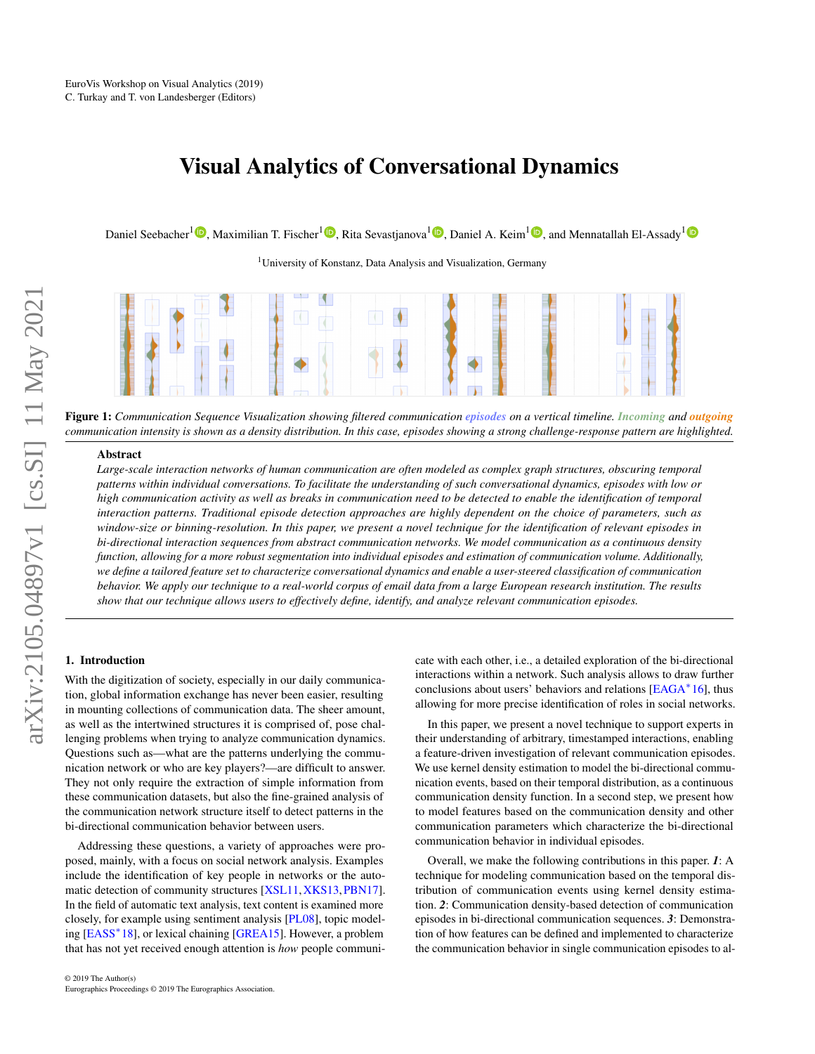# <span id="page-0-1"></span>Visual Analytics of Conversational Dynamics

Daniel Seebacher<sup>1</sup> <sup>(D</sup>)[,](https://orcid.org/0000-0001-7966-9740) Maximilian T. Fischer<sup>[1](https://orcid.org/0000-0001-8526-2613) (D</sup>), Rita Sevastjanova<sup>1</sup> (D), Daniel A. Keim<sup>1</sup> (D), and Mennatallah El-Assady<sup>1</sup>

<sup>1</sup> University of Konstanz, Data Analysis and Visualization, Germany



Figure 1: *Communication Sequence Visualization showing filtered communication episodes on a vertical timeline. Incoming and outgoing communication intensity is shown as a density distribution. In this case, episodes showing a strong challenge-response pattern are highlighted.*

#### <span id="page-0-0"></span>Abstract

*Large-scale interaction networks of human communication are often modeled as complex graph structures, obscuring temporal patterns within individual conversations. To facilitate the understanding of such conversational dynamics, episodes with low or high communication activity as well as breaks in communication need to be detected to enable the identification of temporal interaction patterns. Traditional episode detection approaches are highly dependent on the choice of parameters, such as window-size or binning-resolution. In this paper, we present a novel technique for the identification of relevant episodes in bi-directional interaction sequences from abstract communication networks. We model communication as a continuous density function, allowing for a more robust segmentation into individual episodes and estimation of communication volume. Additionally, we define a tailored feature set to characterize conversational dynamics and enable a user-steered classification of communication behavior. We apply our technique to a real-world corpus of email data from a large European research institution. The results show that our technique allows users to effectively define, identify, and analyze relevant communication episodes.*

### 1. Introduction

With the digitization of society, especially in our daily communication, global information exchange has never been easier, resulting in mounting collections of communication data. The sheer amount, as well as the intertwined structures it is comprised of, pose challenging problems when trying to analyze communication dynamics. Questions such as—what are the patterns underlying the communication network or who are key players?—are difficult to answer. They not only require the extraction of simple information from these communication datasets, but also the fine-grained analysis of the communication network structure itself to detect patterns in the bi-directional communication behavior between users.

Addressing these questions, a variety of approaches were proposed, mainly, with a focus on social network analysis. Examples include the identification of key people in networks or the automatic detection of community structures [\[XSL11,](#page-4-0)[XKS13,](#page-4-1)[PBN17\]](#page-4-2). In the field of automatic text analysis, text content is examined more closely, for example using sentiment analysis [\[PL08\]](#page-4-3), topic modeling [\[EASS](#page-4-4)<sup>∗</sup> 18], or lexical chaining [\[GREA15\]](#page-4-5). However, a problem that has not yet received enough attention is *how* people communicate with each other, i.e., a detailed exploration of the bi-directional interactions within a network. Such analysis allows to draw further conclusions about users' behaviors and relations [\[EAGA](#page-4-6)<sup>\*</sup>16], thus allowing for more precise identification of roles in social networks.

In this paper, we present a novel technique to support experts in their understanding of arbitrary, timestamped interactions, enabling a feature-driven investigation of relevant communication episodes. We use kernel density estimation to model the bi-directional communication events, based on their temporal distribution, as a continuous communication density function. In a second step, we present how to model features based on the communication density and other communication parameters which characterize the bi-directional communication behavior in individual episodes.

Overall, we make the following contributions in this paper. *1*: A technique for modeling communication based on the temporal distribution of communication events using kernel density estimation. *2*: Communication density-based detection of communication episodes in bi-directional communication sequences. *3*: Demonstration of how features can be defined and implemented to characterize the communication behavior in single communication episodes to al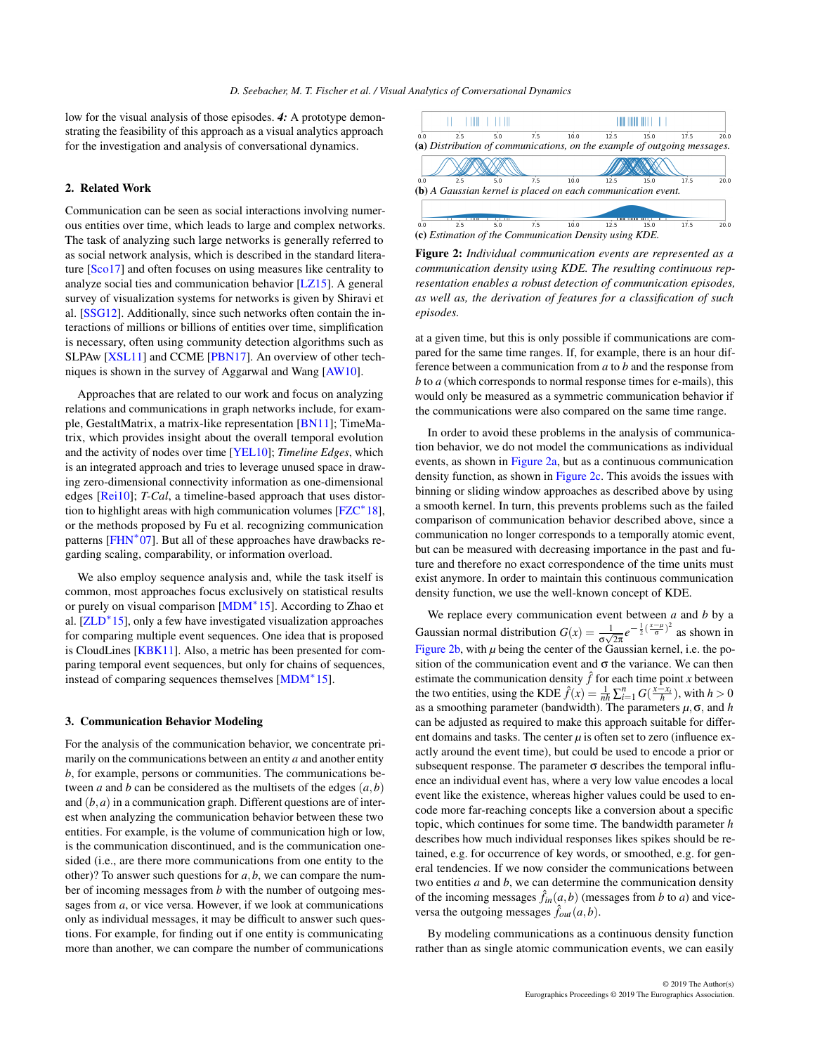<span id="page-1-1"></span>low for the visual analysis of those episodes. *4:* A prototype demonstrating the feasibility of this approach as a visual analytics approach for the investigation and analysis of conversational dynamics.

#### 2. Related Work

Communication can be seen as social interactions involving numerous entities over time, which leads to large and complex networks. The task of analyzing such large networks is generally referred to as social network analysis, which is described in the standard literature [\[Sco17\]](#page-4-7) and often focuses on using measures like centrality to analyze social ties and communication behavior [\[LZ15\]](#page-4-8). A general survey of visualization systems for networks is given by Shiravi et al. [\[SSG12\]](#page-4-9). Additionally, since such networks often contain the interactions of millions or billions of entities over time, simplification is necessary, often using community detection algorithms such as SLPAw [\[XSL11\]](#page-4-0) and CCME [\[PBN17\]](#page-4-2). An overview of other techniques is shown in the survey of Aggarwal and Wang [\[AW10\]](#page-4-10).

Approaches that are related to our work and focus on analyzing relations and communications in graph networks include, for example, GestaltMatrix, a matrix-like representation [\[BN11\]](#page-4-11); TimeMatrix, which provides insight about the overall temporal evolution and the activity of nodes over time [\[YEL10\]](#page-4-12); *Timeline Edges*, which is an integrated approach and tries to leverage unused space in drawing zero-dimensional connectivity information as one-dimensional edges [\[Rei10\]](#page-4-13); *T-Cal*, a timeline-based approach that uses distortion to highlight areas with high communication volumes  $[{\rm FZC}^*18]$ , or the methods proposed by Fu et al. recognizing communication patterns [\[FHN](#page-4-15)<sup>\*</sup>07]. But all of these approaches have drawbacks regarding scaling, comparability, or information overload.

We also employ sequence analysis and, while the task itself is common, most approaches focus exclusively on statistical results or purely on visual comparison [\[MDM](#page-4-16)<sup>∗</sup> 15]. According to Zhao et al. [\[ZLD](#page-4-17)<sup>\*</sup>15], only a few have investigated visualization approaches for comparing multiple event sequences. One idea that is proposed is CloudLines [\[KBK11\]](#page-4-18). Also, a metric has been presented for comparing temporal event sequences, but only for chains of sequences, instead of comparing sequences themselves [\[MDM](#page-4-16)<sup>∗</sup> 15].

#### 3. Communication Behavior Modeling

For the analysis of the communication behavior, we concentrate primarily on the communications between an entity *a* and another entity *b*, for example, persons or communities. The communications between *a* and *b* can be considered as the multisets of the edges  $(a, b)$ and (*b*,*a*) in a communication graph. Different questions are of interest when analyzing the communication behavior between these two entities. For example, is the volume of communication high or low, is the communication discontinued, and is the communication onesided (i.e., are there more communications from one entity to the other)? To answer such questions for  $a, b$ , we can compare the number of incoming messages from *b* with the number of outgoing messages from *a*, or vice versa. However, if we look at communications only as individual messages, it may be difficult to answer such questions. For example, for finding out if one entity is communicating more than another, we can compare the number of communications

<span id="page-1-0"></span>

Figure 2: *Individual communication events are represented as a communication density using KDE. The resulting continuous representation enables a robust detection of communication episodes, as well as, the derivation of features for a classification of such episodes.*

at a given time, but this is only possible if communications are compared for the same time ranges. If, for example, there is an hour difference between a communication from *a* to *b* and the response from *b* to *a* (which corresponds to normal response times for e-mails), this would only be measured as a symmetric communication behavior if the communications were also compared on the same time range.

In order to avoid these problems in the analysis of communication behavior, we do not model the communications as individual events, as shown in [Figure 2a,](#page-1-0) but as a continuous communication density function, as shown in [Figure 2c.](#page-1-0) This avoids the issues with binning or sliding window approaches as described above by using a smooth kernel. In turn, this prevents problems such as the failed comparison of communication behavior described above, since a communication no longer corresponds to a temporally atomic event, but can be measured with decreasing importance in the past and future and therefore no exact correspondence of the time units must exist anymore. In order to maintain this continuous communication density function, we use the well-known concept of KDE.

We replace every communication event between *a* and *b* by a Gaussian normal distribution  $G(x) = \frac{1}{\sigma \sqrt{2\pi}} e^{-\frac{1}{2}(\frac{x-\mu}{\sigma})^2}$  as shown in [Figure 2b,](#page-1-0) with  $\mu$  being the center of the Gaussian kernel, i.e. the position of the communication event and  $\sigma$  the variance. We can then estimate the communication density  $\hat{f}$  for each time point *x* between the two entities, using the KDE  $\hat{f}(x) = \frac{1}{nh} \sum_{i=1}^{n} G(\frac{x - x_i}{h})$ , with  $h > 0$ as a smoothing parameter (bandwidth). The parameters *µ*,σ, and *h* can be adjusted as required to make this approach suitable for different domains and tasks. The center  $\mu$  is often set to zero (influence exactly around the event time), but could be used to encode a prior or subsequent response. The parameter  $\sigma$  describes the temporal influence an individual event has, where a very low value encodes a local event like the existence, whereas higher values could be used to encode more far-reaching concepts like a conversion about a specific topic, which continues for some time. The bandwidth parameter *h* describes how much individual responses likes spikes should be retained, e.g. for occurrence of key words, or smoothed, e.g. for general tendencies. If we now consider the communications between two entities *a* and *b*, we can determine the communication density of the incoming messages  $\hat{f}_m(a,b)$  (messages from *b* to *a*) and viceversa the outgoing messages  $\hat{f}_{out}(a,b)$ .

By modeling communications as a continuous density function rather than as single atomic communication events, we can easily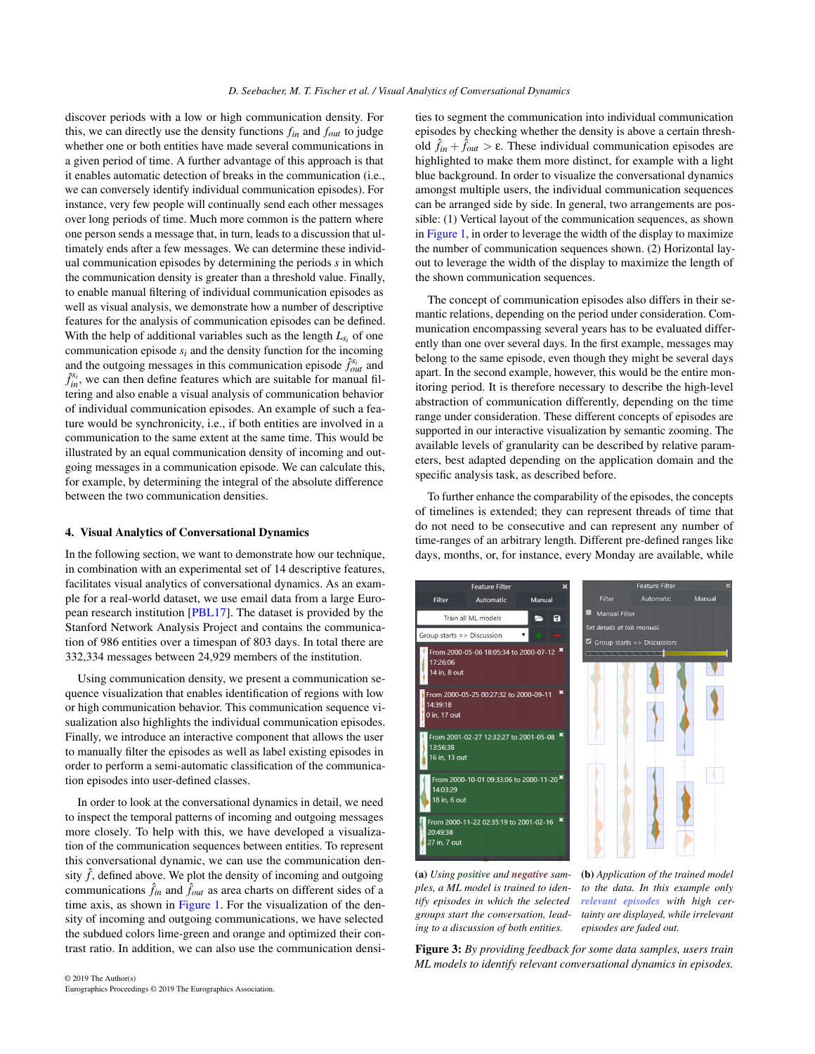<span id="page-2-1"></span>discover periods with a low or high communication density. For this, we can directly use the density functions *fin* and *fout* to judge whether one or both entities have made several communications in a given period of time. A further advantage of this approach is that it enables automatic detection of breaks in the communication (i.e., we can conversely identify individual communication episodes). For instance, very few people will continually send each other messages over long periods of time. Much more common is the pattern where one person sends a message that, in turn, leads to a discussion that ultimately ends after a few messages. We can determine these individual communication episodes by determining the periods *s* in which the communication density is greater than a threshold value. Finally, to enable manual filtering of individual communication episodes as well as visual analysis, we demonstrate how a number of descriptive features for the analysis of communication episodes can be defined. With the help of additional variables such as the length  $L_{s_i}$  of one communication episode  $s_i$  and the density function for the incoming and the outgoing messages in this communication episode  $\hat{f}_{out}^{s_i}$  and  $\hat{f}^{s_i}_{in}$ , we can then define features which are suitable for manual filtering and also enable a visual analysis of communication behavior of individual communication episodes. An example of such a feature would be synchronicity, i.e., if both entities are involved in a communication to the same extent at the same time. This would be illustrated by an equal communication density of incoming and outgoing messages in a communication episode. We can calculate this, for example, by determining the integral of the absolute difference between the two communication densities.

#### 4. Visual Analytics of Conversational Dynamics

In the following section, we want to demonstrate how our technique, in combination with an experimental set of 14 descriptive features, facilitates visual analytics of conversational dynamics. As an example for a real-world dataset, we use email data from a large European research institution [\[PBL17\]](#page-4-19). The dataset is provided by the Stanford Network Analysis Project and contains the communication of 986 entities over a timespan of 803 days. In total there are 332,334 messages between 24,929 members of the institution.

Using communication density, we present a communication sequence visualization that enables identification of regions with low or high communication behavior. This communication sequence visualization also highlights the individual communication episodes. Finally, we introduce an interactive component that allows the user to manually filter the episodes as well as label existing episodes in order to perform a semi-automatic classification of the communication episodes into user-defined classes.

In order to look at the conversational dynamics in detail, we need to inspect the temporal patterns of incoming and outgoing messages more closely. To help with this, we have developed a visualization of the communication sequences between entities. To represent this conversational dynamic, we can use the communication density  $\hat{f}$ , defined above. We plot the density of incoming and outgoing communications  $\hat{f}_{in}$  and  $\hat{f}_{out}$  as area charts on different sides of a time axis, as shown in [Figure 1.](#page-0-0) For the visualization of the density of incoming and outgoing communications, we have selected the subdued colors lime-green and orange and optimized their contrast ratio. In addition, we can also use the communication densi-

© 2019 The Author(s) Eurographics Proceedings © 2019 The Eurographics Association. ties to segment the communication into individual communication episodes by checking whether the density is above a certain threshold  $\hat{f}_{in} + \hat{f}_{out} > \varepsilon$ . These individual communication episodes are highlighted to make them more distinct, for example with a light blue background. In order to visualize the conversational dynamics amongst multiple users, the individual communication sequences can be arranged side by side. In general, two arrangements are possible: (1) Vertical layout of the communication sequences, as shown in [Figure 1,](#page-0-0) in order to leverage the width of the display to maximize the number of communication sequences shown. (2) Horizontal layout to leverage the width of the display to maximize the length of the shown communication sequences.

The concept of communication episodes also differs in their semantic relations, depending on the period under consideration. Communication encompassing several years has to be evaluated differently than one over several days. In the first example, messages may belong to the same episode, even though they might be several days apart. In the second example, however, this would be the entire monitoring period. It is therefore necessary to describe the high-level abstraction of communication differently, depending on the time range under consideration. These different concepts of episodes are supported in our interactive visualization by semantic zooming. The available levels of granularity can be described by relative parameters, best adapted depending on the application domain and the specific analysis task, as described before.

To further enhance the comparability of the episodes, the concepts of timelines is extended; they can represent threads of time that do not need to be consecutive and can represent any number of time-ranges of an arbitrary length. Different pre-defined ranges like days, months, or, for instance, every Monday are available, while

<span id="page-2-0"></span>

(a) *Using positive and negative samples, a ML model is trained to identify episodes in which the selected groups start the conversation, leading to a discussion of both entities.*

(b) *Application of the trained model to the data. In this example only relevant episodes with high certainty are displayed, while irrelevant episodes are faded out.*

Figure 3: *By providing feedback for some data samples, users train ML models to identify relevant conversational dynamics in episodes.*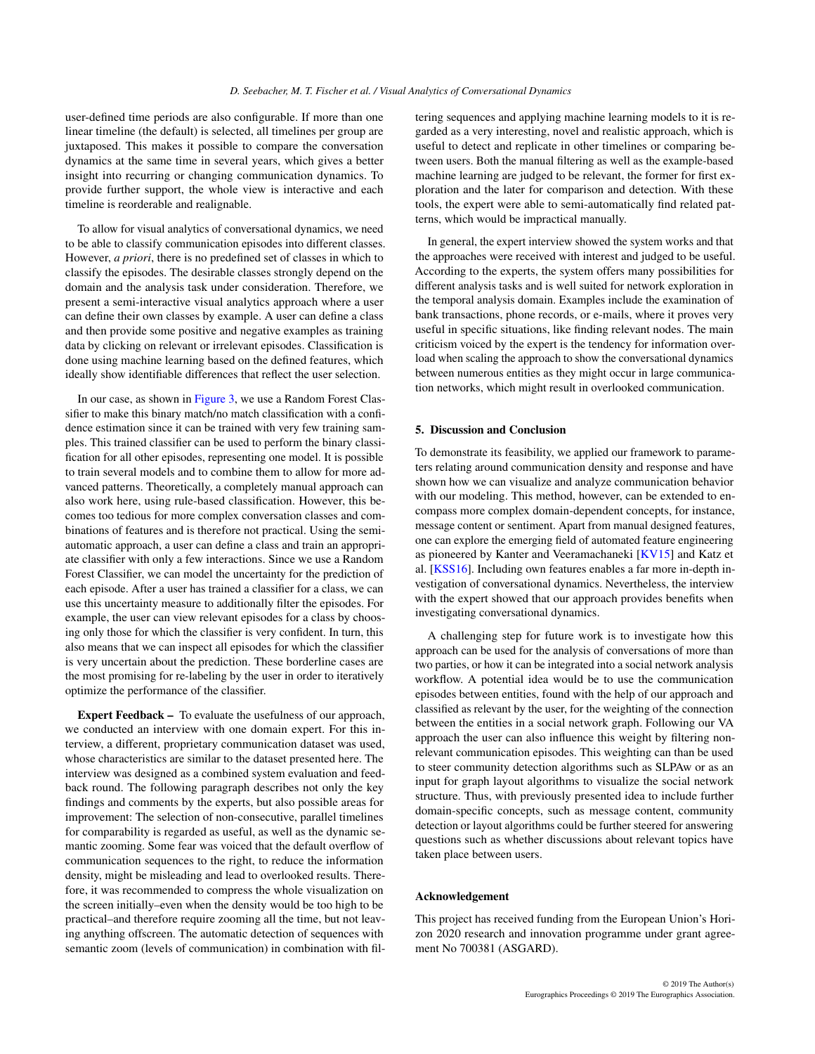<span id="page-3-0"></span>user-defined time periods are also configurable. If more than one linear timeline (the default) is selected, all timelines per group are juxtaposed. This makes it possible to compare the conversation dynamics at the same time in several years, which gives a better insight into recurring or changing communication dynamics. To provide further support, the whole view is interactive and each timeline is reorderable and realignable.

To allow for visual analytics of conversational dynamics, we need to be able to classify communication episodes into different classes. However, *a priori*, there is no predefined set of classes in which to classify the episodes. The desirable classes strongly depend on the domain and the analysis task under consideration. Therefore, we present a semi-interactive visual analytics approach where a user can define their own classes by example. A user can define a class and then provide some positive and negative examples as training data by clicking on relevant or irrelevant episodes. Classification is done using machine learning based on the defined features, which ideally show identifiable differences that reflect the user selection.

In our case, as shown in [Figure 3,](#page-2-0) we use a Random Forest Classifier to make this binary match/no match classification with a confidence estimation since it can be trained with very few training samples. This trained classifier can be used to perform the binary classification for all other episodes, representing one model. It is possible to train several models and to combine them to allow for more advanced patterns. Theoretically, a completely manual approach can also work here, using rule-based classification. However, this becomes too tedious for more complex conversation classes and combinations of features and is therefore not practical. Using the semiautomatic approach, a user can define a class and train an appropriate classifier with only a few interactions. Since we use a Random Forest Classifier, we can model the uncertainty for the prediction of each episode. After a user has trained a classifier for a class, we can use this uncertainty measure to additionally filter the episodes. For example, the user can view relevant episodes for a class by choosing only those for which the classifier is very confident. In turn, this also means that we can inspect all episodes for which the classifier is very uncertain about the prediction. These borderline cases are the most promising for re-labeling by the user in order to iteratively optimize the performance of the classifier.

Expert Feedback – To evaluate the usefulness of our approach, we conducted an interview with one domain expert. For this interview, a different, proprietary communication dataset was used, whose characteristics are similar to the dataset presented here. The interview was designed as a combined system evaluation and feedback round. The following paragraph describes not only the key findings and comments by the experts, but also possible areas for improvement: The selection of non-consecutive, parallel timelines for comparability is regarded as useful, as well as the dynamic semantic zooming. Some fear was voiced that the default overflow of communication sequences to the right, to reduce the information density, might be misleading and lead to overlooked results. Therefore, it was recommended to compress the whole visualization on the screen initially–even when the density would be too high to be practical–and therefore require zooming all the time, but not leaving anything offscreen. The automatic detection of sequences with semantic zoom (levels of communication) in combination with filtering sequences and applying machine learning models to it is regarded as a very interesting, novel and realistic approach, which is useful to detect and replicate in other timelines or comparing between users. Both the manual filtering as well as the example-based machine learning are judged to be relevant, the former for first exploration and the later for comparison and detection. With these tools, the expert were able to semi-automatically find related patterns, which would be impractical manually.

In general, the expert interview showed the system works and that the approaches were received with interest and judged to be useful. According to the experts, the system offers many possibilities for different analysis tasks and is well suited for network exploration in the temporal analysis domain. Examples include the examination of bank transactions, phone records, or e-mails, where it proves very useful in specific situations, like finding relevant nodes. The main criticism voiced by the expert is the tendency for information overload when scaling the approach to show the conversational dynamics between numerous entities as they might occur in large communication networks, which might result in overlooked communication.

## 5. Discussion and Conclusion

To demonstrate its feasibility, we applied our framework to parameters relating around communication density and response and have shown how we can visualize and analyze communication behavior with our modeling. This method, however, can be extended to encompass more complex domain-dependent concepts, for instance, message content or sentiment. Apart from manual designed features, one can explore the emerging field of automated feature engineering as pioneered by Kanter and Veeramachaneki [\[KV15\]](#page-4-20) and Katz et al. [\[KSS16\]](#page-4-21). Including own features enables a far more in-depth investigation of conversational dynamics. Nevertheless, the interview with the expert showed that our approach provides benefits when investigating conversational dynamics.

A challenging step for future work is to investigate how this approach can be used for the analysis of conversations of more than two parties, or how it can be integrated into a social network analysis workflow. A potential idea would be to use the communication episodes between entities, found with the help of our approach and classified as relevant by the user, for the weighting of the connection between the entities in a social network graph. Following our VA approach the user can also influence this weight by filtering nonrelevant communication episodes. This weighting can than be used to steer community detection algorithms such as SLPAw or as an input for graph layout algorithms to visualize the social network structure. Thus, with previously presented idea to include further domain-specific concepts, such as message content, community detection or layout algorithms could be further steered for answering questions such as whether discussions about relevant topics have taken place between users.

#### Acknowledgement

This project has received funding from the European Union's Horizon 2020 research and innovation programme under grant agreement No 700381 (ASGARD).